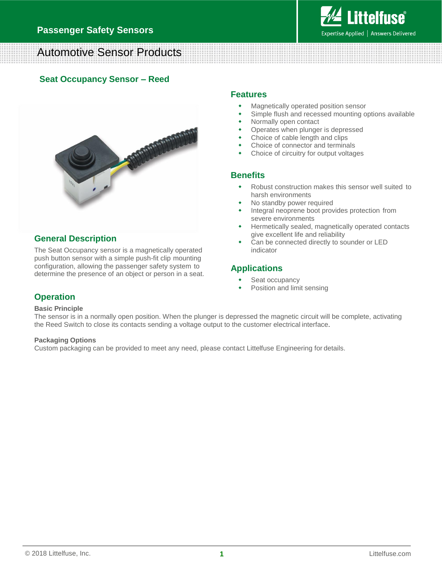

# Automotive Sensor Products

### **Seat Occupancy Sensor – Reed**



### **General Description**

The Seat Occupancy sensor is a magnetically operated push button sensor with a simple push-fit clip mounting configuration, allowing the passenger safety system to determine the presence of an object or person in a seat.

#### **Features**

- Magnetically operated position sensor
- Simple flush and recessed mounting options available
- Normally open contact
- Operates when plunger is depressed
- Choice of cable length and clips
- Choice of connector and terminals
- Choice of circuitry for output voltages

#### **Benefits**

- Robust construction makes this sensor well suited to harsh environments
- No standby power required
- Integral neoprene boot provides protection from severe environments
- Hermetically sealed, magnetically operated contacts give excellent life and reliability
- Can be connected directly to sounder or LED indicator

### **Applications**

- Seat occupancy
- Position and limit sensing

### **Operation**

#### **Basic Principle**

The sensor is in a normally open position. When the plunger is depressed the magnetic circuit will be complete, activating the Reed Switch to close its contacts sending a voltage output to the customer electrical interface.

#### **Packaging Options**

Custom packaging can be provided to meet any need, please contact Littelfuse Engineering for details.